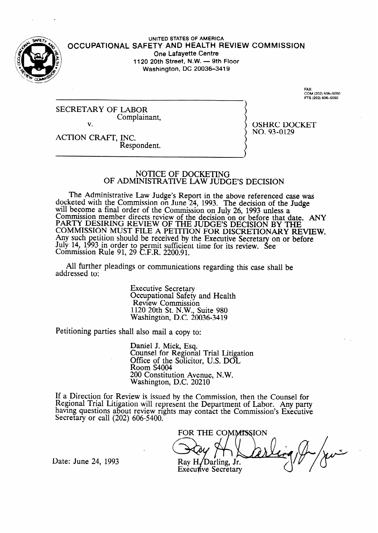

#### **UNITED STATES OF AMERICA** OCCUPATIONAL SAFETY AND HEALTH REVIEW COMMISSIC **One Lafayette Centre 1120 20th Street, N.W. - 9th Floor Washington, DC 20036-3419**

**FAX:**<br>COM (202) 606–50 EXT (202) 606-5050

SECRETARY OF LABOR Complainant, v.

OSHRC DOCKET NO. 93-0129

ACTION CRAFT, INC. Respondent.

#### NOTICE OF DOCKETING OF ADMINISTRATIVE LAW JUDGE'S DECISION

The Administrative Law Judge's Report in the above referenced case was docketed with the Commission on June 24, 1993. The decision of the Judge will become a final order of the Commission on July 26, 1993 unless a Commission member directs review of the decision on or before that date. ANY PARTY DESIRING REVIEW OF THE JUDGE'S DECISION BY THE COMMISSION MUST FILE A PETITION FOR DISCRETIONARY REVIEW. Any such July 14, 199 etition should be received by the Executive Secreta  $93$  in order to permit sufficient time for its review.  $\acute{\text{S}}$ on or before Commission Rule 91, 29 ermit sufficient time for its review.  $\mathbf C$ ee .F.R. 2200.91.

All further pleadings or communications regarding this case shall be addressed to:

> Executive Secretary Occupational Safety and Health Review Commission 1120 20th St. N.W., Suite 980 Washington, D.C. 20036-34 19

Petitioning parties shall also mail a copy to:

Daniel J. Mick, Esq. Counsel for Regional Trial Litigation Office of the Solicitor, U.S. DOL Room S4004 200 Constitution Avenue, N.W. Washington, D.C. 20210

If a Direction for Review is issued by the Commission, then the Counsel for Regional Trial Litigation will represent the Department of Labor. Any party having questions about review rights may contact the Commission's Executive Secretary or call (202) 606-5400.

FOR THE COMMISSION Ray H./Darling, Jr.

Date: June 24, 1993

**Executive Secretary**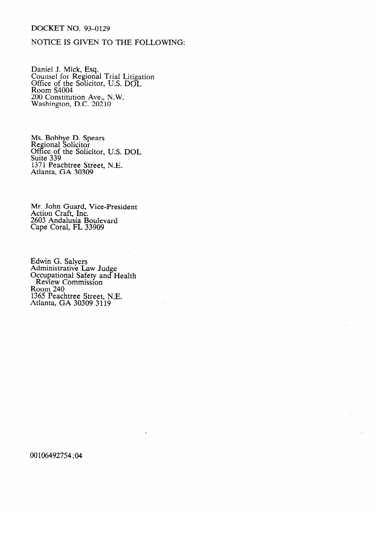## DQCKET NO. 93-0129

## NOTICE IS GIVEN TO THE FOLLOWING:

Daniel J. Mick, Esq.<br>Counsel for Regiona Counsel for Regional Trial Litigation<br>Office of the Solicitor U.S. DOI Since of the Sonettor, C.S. DOL -room S<sub>1991</sub>.<br>200 Constitut  $W$ ashington, D.C. 20210  $\mathcal{C}$  and  $\mathcal{C}$  2021,  $\mathcal{C}$  2021  $\mathcal{C}$ 

Regional Solicitor Office of the Solic Suite 339 1371 Peac Atlanta, GA 30309 U.S. DOL

Mr. John Guard, Vice-President ACHOIL CITAL, INC.<br>2603 Andelusie Peuleverd 2005 Anualusia **D**<br>Cape Coral, EL 3 Cape Coral,  $FL$  33909

Edministrative Education Review Commission  $Room\ 240$ 865 Peachtree Stree Atlanta, G.  $\frac{1}{\sqrt{2}}$ 

00106492754:04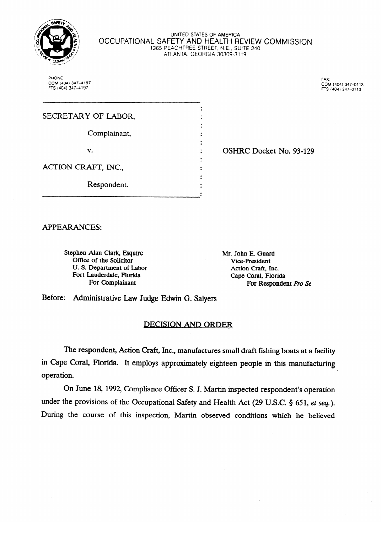

#### **UNITED STATES OF AMERICA**  OCCUPATIONAL SAFETY AND HEALTH REVIEW COMMISSION 1365 PEACHTREE STREET, NE., SUITE **240 ATLANTA,** GEORGIA 30309-3 119

PHONE FAX COM **(404)347-4197**  FTS **(404)** 347-4197

COM **(404)** 347-0113 f=Ts **(404) 347-0113** 

| SECRETARY OF LABOR, |  |
|---------------------|--|
| Complainant,        |  |
|                     |  |
| v.                  |  |
| ACTION CRAFT, INC., |  |
| Respondent.         |  |
|                     |  |

OSHRC Docket No. 93-129

**APPEARANCES:** 

Stephen Alan Clark, Esquire<br>Office of the Solicitor U. S. Department of Labor Fort Lauderdale, Florida For Complainant

For Complainant

Mr. John E. Guard Vice-President Action Craft, Inc. **Cape Coral, Florida** For Respondent Pro Se

For Respondent Ro Se

Before: Administrative Law Judge Edwin G. Salvers  $\mathcal{L}$ 

## **DECISION AND ORDER**

The respondent, Action Craft, Inc., manufactures small draft fishing boats at a facility The respondent, Action Craft, Inc., manufactures small draft fishing boats at a facility  $\sum_{i=1}^{n}$  in Cape Coral, Florida. It employs approximately eighteen people in this manufacturing in this manufacturing in this manufacturing in this manufacturing in this manufacturing in this manufacturing in this man

On June 18, 1992, Compliance Officer S. J. Martin inspected respondent's operation under the provisions of the Occupational Safety and Health Act (29 U.S.C.  $\S$  651, et seq.). During the course of this inspection, Martin observed conditions which he believed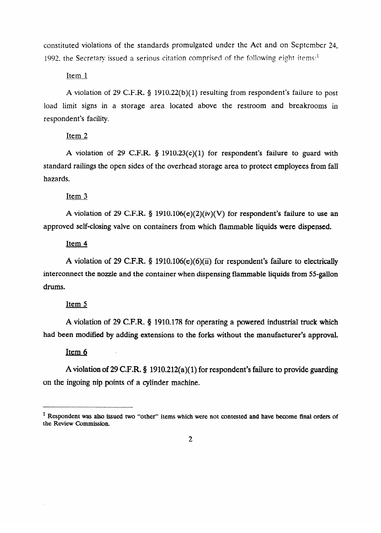constituted violations of the standards promulgated under the Act and on September 24, 1992, the Secretary issued a serious citation comprised of the following eight items:<sup>1</sup>

Item 1

A violation of 29 C.F.R. § 1910.22(b)(1) resulting from respondent's failure to post load limit signs in a storage area located above the restroom and breakrooms in respondent's facility.

Item 2

A violation of 29 C.F.R.  $\S$  1910.23(c)(1) for respondent's failure to guard with standard railings the open sides of the overhead storage area to protect employees from fall hazards.

Item 3

A violation of  $Z$ ) c.f.  $\mathcal{X}$ ,  $\mathcal{Y}$  1910.106(e)(2)(iv)(V) for respondent's failure to use an approved self-closing valve on containers from which hammable liquids were dispensed.

Item 4

A violation of 29 C.F.R. § 1910.106(e)(6)(ii) for respondent's failure to electrically interconnect the nozzle and the container when dispensing flammable liquids from 55-gallon drums.

#### Item 5 **Item 5.5 pm**

A violation of 29 C.F.R. § 1910.178 for operating a powered industrial truck which had been modified by adding extensions to the forks without the manufacturer's approval. had by adding extensions to the forks with the forks with the manufacturer  $\mathbf{f}_{\mathbf{f}}$ 

#### Item 6

A violation of 29 C.F.R. § 1910.212(a)(1) for respondent's failure to provide guarding on the ingoing nip points of a cylinder machine.

<sup>&</sup>lt;sup>1</sup> Respondent was also issued two "other" items which were not contested and have become final orders of the Review Commission.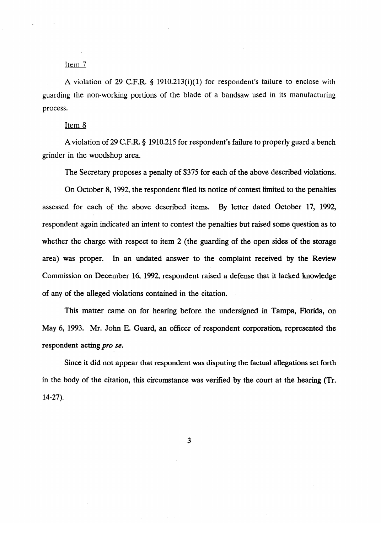### Item<sub>7</sub>

A violation of 29 C.F.R.  $\S$  1910.213(i)(1) for respondent's failure to enclose with guarding the non-working portions of the blade of a bandsaw used in its manufacturing process.

#### Item 8

Aviolation of 29 C.F.R. 8 1910.215 for respondent's failure to properly guard a bench grinder in the woodshop area.

The Secretary proposes a penalty of \$375 for each of the above described violations.

On October 8,1992, the respondent filed its notice of contest limited to the penalties assessed for each of the above described items. By letter dated October 17, 1992, respondent again indicated an intent to contest the penalties but raised some question as to whether the charge with respect to item 2 (the guarding of the open sides of the storage area) was proper. In an undated answer to the complaint received by the Review Commission on December 16, 1992, respondent raised a defense that it lacked knowledge of any of the alleged violations contained in the citation.

 $\sigma$  is matter cannot before the undersigned in Tampa, Fig. is defined in Tampa, Fig. in Tampa, Fig. is defined in  $\sigma$ May 6, 1993. Mr. John E. Guard, an officer of respondent corporation, represented the respondent acting pro se. respondent acting pro se.

Since it did not appear that respondent was disputing the factual allegations set forth Since it did not appear that respondent was disputing the factual allegations set forth in the body of the citation, this circumstance was verified by the court at the hearing (Tr.  $14-27$ ).

 $\overline{3}$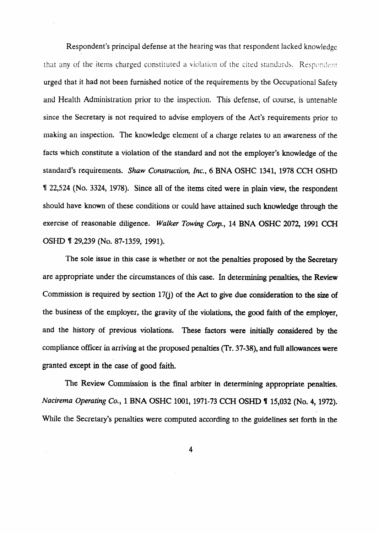Respondent's principal defense at the hearing was that respondent lacked knowledge that any of the items charged constituted a violation of the cited standards. Respondent urged that it had not been furnished notice of the requirements by the Occupational Safety and Health Administration prior to the inspection. This defense, of course, is untenable since the Secretary is not required to advise employers of the Act's requirements prior to making an inspection. The knowledge element of a charge relates to an awareness of the facts which constitute a violation of the standard and not the employer's knowledge of the standard's requirements. Shaw Construction, Inc., 6 BNA OSHC 1341, 1978 CCH OSHD ll 22,524 (No. 3324, 1978). Since all of the items cited were in plain view, the respondent should have known of these conditions or could have attained such knowledge through the exercise of reasonable diligence. *Waker Towing Corp.,* 14 BNA OSHC 2072, 1991 CCH OSHD 1 29,239 (No. 87-1359, 1991).

The sole issue in this case is whether or not the penalties proposed by the Secretary are appropriate under the circumstances of this case. In determining penalties, the Review Commission is required by section 17(j) of the Act to give due consideration to the size of the business of the employer, the gravity of the violations, the good faith of the employer, and the history of previous violations. These factors were initially considered by the compliance officer in arriving at the proposed penalties (Tr. 37.38), and full allowances were granted except in the case of good faith.

The Review Commission is the final arbiter in determining appropriate penalties. *Nacirema Operating Co., 1 BNA OSHC 1001, 1971-73 CCH OSHD ¶ 15,032 (No. 4, 1972).* While the Secretary's penalties were computed according to the guidelines set forth in the